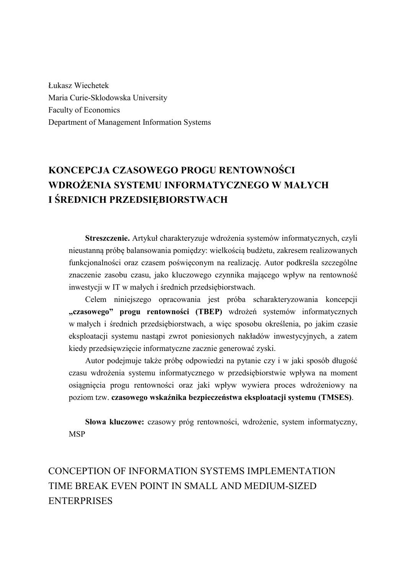Łukasz Wiechetek Maria Curie-Sklodowska University Faculty of Economics Department of Management Information Systems

# **KONCEPCJA CZASOWEGO PROGU RENTOWNOŚCI WDROŻENIA SYSTEMU INFORMATYCZNEGO W MAŁYCH I ŚREDNICH PRZEDSIĘBIORSTWACH**

**Streszczenie.** Artykuł charakteryzuje wdrożenia systemów informatycznych, czyli nieustanną próbę balansowania pomiędzy: wielkością budżetu, zakresem realizowanych funkcjonalności oraz czasem poświęconym na realizację. Autor podkreśla szczególne znaczenie zasobu czasu, jako kluczowego czynnika mającego wpływ na rentowność inwestycji w IT w małych i średnich przedsiębiorstwach.

Celem niniejszego opracowania jest próba scharakteryzowania koncepcji **"czasowego" progu rentowności (TBEP)** wdrożeń systemów informatycznych w małych i średnich przedsiębiorstwach, a więc sposobu określenia, po jakim czasie eksploatacji systemu nastąpi zwrot poniesionych nakładów inwestycyjnych, a zatem kiedy przedsięwzięcie informatyczne zacznie generować zyski.

Autor podejmuje także próbę odpowiedzi na pytanie czy i w jaki sposób długość czasu wdrożenia systemu informatycznego w przedsiębiorstwie wpływa na moment osiągnięcia progu rentowności oraz jaki wpływ wywiera proces wdrożeniowy na poziom tzw. **czasowego wskaźnika bezpieczeństwa eksploatacji systemu (TMSES)**.

**Słowa kluczowe:** czasowy próg rentowności, wdrożenie, system informatyczny, **MSP** 

# CONCEPTION OF INFORMATION SYSTEMS IMPLEMENTATION TIME BREAK EVEN POINT IN SMALL AND MEDIUM-SIZED **ENTERPRISES**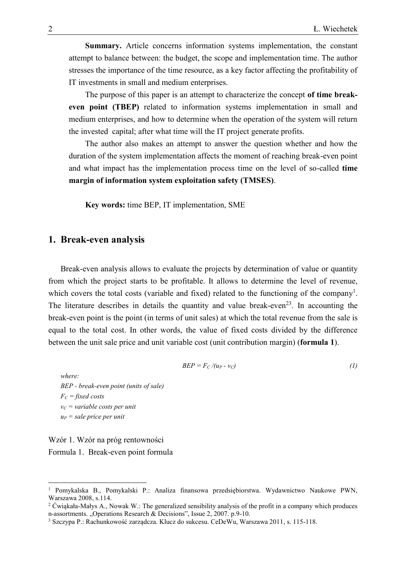**Summary.** Article concerns information systems implementation, the constant attempt to balance between: the budget, the scope and implementation time. The author stresses the importance of the time resource, as a key factor affecting the profitability of IT investments in small and medium enterprises.

The purpose of this paper is an attempt to characterize the concept **of time breakeven point (TBEP)** related to information systems implementation in small and medium enterprises, and how to determine when the operation of the system will return the invested capital; after what time will the IT project generate profits.

The author also makes an attempt to answer the question whether and how the duration of the system implementation affects the moment of reaching break-even point and what impact has the implementation process time on the level of so-called **time margin of information system exploitation safety (TMSES)**.

**Key words:** time BEP, IT implementation, SME

#### **1. Break-even analysis**

Break-even analysis allows to evaluate the projects by determination of value or quantity from which the project starts to be profitable. It allows to determine the level of revenue, which covers the total costs (variable and fixed) related to the functioning of the company<sup>1</sup>. The literature describes in details the quantity and value break-even<sup>23</sup>. In accounting the break-even point is the point (in terms of unit sales) at which the total revenue from the sale is equal to the total cost. In other words, the value of fixed costs divided by the difference between the unit sale price and unit variable cost (unit contribution margin) (**formula 1**).

$$
BEP = F_C/(u_P - v_C) \tag{1}
$$

*where: BEP - break-even point (units of sale) F<sup>C</sup> = fixed costs v<sup>C</sup> = variable costs per unit u<sup>P</sup> = sale price per unit*

Wzór 1. Wzór na próg rentowności Formula 1. Break-even point formula

<sup>1</sup> Pomykalska B., Pomykalski P.: Analiza finansowa przedsiębiorstwa. Wydawnictwo Naukowe PWN, Warszawa 2008, s.114.

<sup>&</sup>lt;sup>2</sup> Ćwiąkała-Małys A., Nowak W.: The generalized sensibility analysis of the profit in a company which produces n-assortments. "Operations Research & Decisions", Issue 2, 2007. p.9-10.

<sup>3</sup> Szczypa P.: Rachunkowość zarządcza. Klucz do sukcesu. CeDeWu, Warszawa 2011, s. 115-118.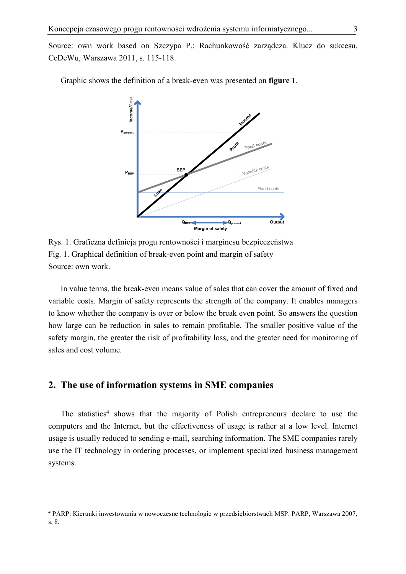Source: own work based on Szczypa P.: Rachunkowość zarządcza. Klucz do sukcesu. CeDeWu, Warszawa 2011, s. 115-118.

Graphic shows the definition of a break-even was presented on **figure 1**.



Rys. 1. Graficzna definicja progu rentowności i marginesu bezpieczeństwa Fig. 1. Graphical definition of break-even point and margin of safety Source: own work.

In value terms, the break-even means value of sales that can cover the amount of fixed and variable costs. Margin of safety represents the strength of the company. It enables managers to know whether the company is over or below the break even point. So answers the question how large can be reduction in sales to remain profitable. The smaller positive value of the safety margin, the greater the risk of profitability loss, and the greater need for monitoring of sales and cost volume.

## **2. The use of information systems in SME companies**

 $\overline{a}$ 

The statistics<sup>4</sup> shows that the majority of Polish entrepreneurs declare to use the computers and the Internet, but the effectiveness of usage is rather at a low level. Internet usage is usually reduced to sending e-mail, searching information. The SME companies rarely use the IT technology in ordering processes, or implement specialized business management systems.

<sup>4</sup> PARP: Kierunki inwestowania w nowoczesne technologie w przedsiębiorstwach MSP. PARP, Warszawa 2007, s. 8.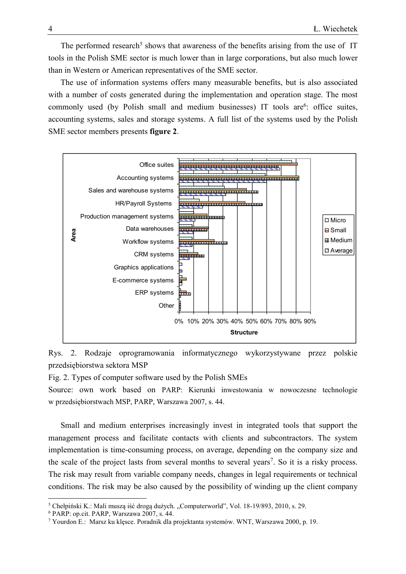The performed research<sup>5</sup> shows that awareness of the benefits arising from the use of IT tools in the Polish SME sector is much lower than in large corporations, but also much lower than in Western or American representatives of the SME sector.

The use of information systems offers many measurable benefits, but is also associated with a number of costs generated during the implementation and operation stage. The most commonly used (by Polish small and medium businesses) IT tools are<sup>6</sup>: office suites, accounting systems, sales and storage systems. A full list of the systems used by the Polish SME sector members presents **figure 2**.





Fig. 2. Types of computer software used by the Polish SMEs

Source: own work based on PARP: Kierunki inwestowania w nowoczesne technologie w przedsiębiorstwach MSP, PARP, Warszawa 2007, s. 44.

Small and medium enterprises increasingly invest in integrated tools that support the management process and facilitate contacts with clients and subcontractors. The system implementation is time-consuming process, on average, depending on the company size and the scale of the project lasts from several months to several years<sup>7</sup>. So it is a risky process. The risk may result from variable company needs, changes in legal requirements or technical conditions. The risk may be also caused by the possibility of winding up the client company

<sup>&</sup>lt;sup>5</sup> Chełpiński K.: Mali muszą iść drogą dużych. "Computerworld", Vol. 18-19/893, 2010, s. 29.

<sup>6</sup> PARP: op.cit. PARP, Warszawa 2007, s. 44.

<sup>7</sup> Yourdon E.: Marsz ku klęsce. Poradnik dla projektanta systemów. WNT, Warszawa 2000, p. 19.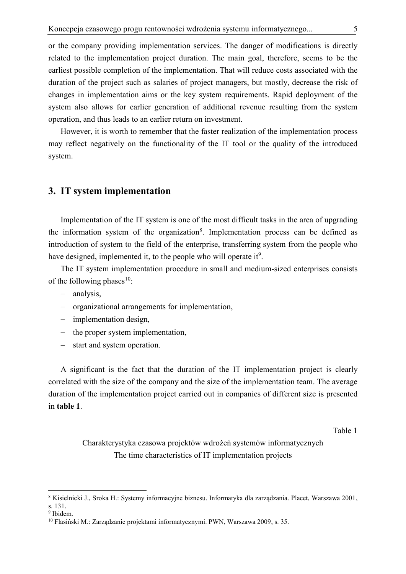or the company providing implementation services. The danger of modifications is directly related to the implementation project duration. The main goal, therefore, seems to be the earliest possible completion of the implementation. That will reduce costs associated with the duration of the project such as salaries of project managers, but mostly, decrease the risk of changes in implementation aims or the key system requirements. Rapid deployment of the system also allows for earlier generation of additional revenue resulting from the system operation, and thus leads to an earlier return on investment.

However, it is worth to remember that the faster realization of the implementation process may reflect negatively on the functionality of the IT tool or the quality of the introduced system.

### **3. IT system implementation**

Implementation of the IT system is one of the most difficult tasks in the area of upgrading the information system of the organization<sup>8</sup>. Implementation process can be defined as introduction of system to the field of the enterprise, transferring system from the people who have designed, implemented it, to the people who will operate it<sup>9</sup>.

The IT system implementation procedure in small and medium-sized enterprises consists of the following phases $10$ :

- analysis,
- organizational arrangements for implementation,
- implementation design.
- $-$  the proper system implementation,
- start and system operation.

A significant is the fact that the duration of the IT implementation project is clearly correlated with the size of the company and the size of the implementation team. The average duration of the implementation project carried out in companies of different size is presented in **table 1**.

Table 1

Charakterystyka czasowa projektów wdrożeń systemów informatycznych The time characteristics of IT implementation projects

<sup>8</sup> Kisielnicki J., Sroka H.: Systemy informacyjne biznesu. Informatyka dla zarządzania. Placet, Warszawa 2001, s. 131.

<sup>&</sup>lt;sup>9</sup> Ibidem.

<sup>10</sup> Flasiński M.: Zarządzanie projektami informatycznymi. PWN, Warszawa 2009, s. 35.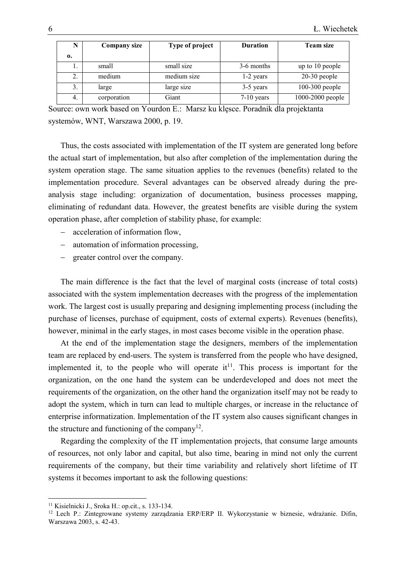| N  | <b>Company size</b> | Type of project | <b>Duration</b> | <b>Team size</b> |
|----|---------------------|-----------------|-----------------|------------------|
| 0. |                     |                 |                 |                  |
| ı. | small               | small size      | 3-6 months      | up to 10 people  |
| 2. | medium              | medium size     | 1-2 years       | $20-30$ people   |
| 3. | large               | large size      | 3-5 years       | $100-300$ people |
| 4. | corporation         | Giant           | $7-10$ years    | 1000-2000 people |

Source: own work based on Yourdon E.: Marsz ku klęsce. Poradnik dla projektanta systemów, WNT, Warszawa 2000, p. 19.

Thus, the costs associated with implementation of the IT system are generated long before the actual start of implementation, but also after completion of the implementation during the system operation stage. The same situation applies to the revenues (benefits) related to the implementation procedure. Several advantages can be observed already during the preanalysis stage including: organization of documentation, business processes mapping, eliminating of redundant data. However, the greatest benefits are visible during the system operation phase, after completion of stability phase, for example:

- acceleration of information flow,
- automation of information processing,
- greater control over the company.

The main difference is the fact that the level of marginal costs (increase of total costs) associated with the system implementation decreases with the progress of the implementation work. The largest cost is usually preparing and designing implementing process (including the purchase of licenses, purchase of equipment, costs of external experts). Revenues (benefits), however, minimal in the early stages, in most cases become visible in the operation phase.

At the end of the implementation stage the designers, members of the implementation team are replaced by end-users. The system is transferred from the people who have designed, implemented it, to the people who will operate  $it<sup>11</sup>$ . This process is important for the organization, on the one hand the system can be underdeveloped and does not meet the requirements of the organization, on the other hand the organization itself may not be ready to adopt the system, which in turn can lead to multiple charges, or increase in the reluctance of enterprise informatization. Implementation of the IT system also causes significant changes in the structure and functioning of the company<sup>12</sup>.

Regarding the complexity of the IT implementation projects, that consume large amounts of resources, not only labor and capital, but also time, bearing in mind not only the current requirements of the company, but their time variability and relatively short lifetime of IT systems it becomes important to ask the following questions:

<sup>11</sup> Kisielnicki J., Sroka H.: op.cit., s. 133-134.

<sup>12</sup> Lech P.: Zintegrowane systemy zarządzania ERP/ERP II. Wykorzystanie w biznesie, wdrażanie. Difin, Warszawa 2003, s. 42-43.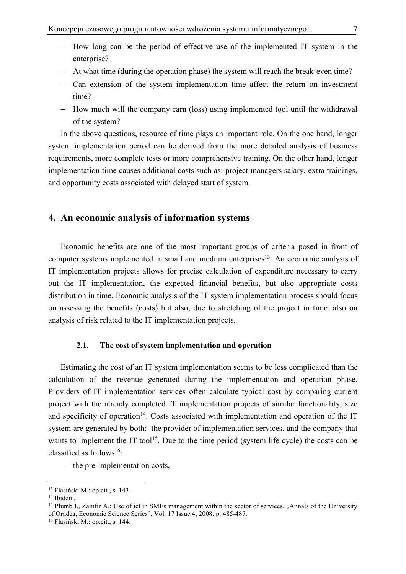- How long can be the period of effective use of the implemented IT system in the enterprise?
- At what time (during the operation phase) the system will reach the break-even time?
- Can extension of the system implementation time affect the return on investment time?
- How much will the company earn (loss) using implemented tool until the withdrawal of the system?

In the above questions, resource of time plays an important role. On the one hand, longer system implementation period can be derived from the more detailed analysis of business requirements, more complete tests or more comprehensive training. On the other hand, longer implementation time causes additional costs such as: project managers salary, extra trainings, and opportunity costs associated with delayed start of system.

## **4. An economic analysis of information systems**

Economic benefits are one of the most important groups of criteria posed in front of computer systems implemented in small and medium enterprises<sup>13</sup>. An economic analysis of IT implementation projects allows for precise calculation of expenditure necessary to carry out the IT implementation, the expected financial benefits, but also appropriate costs distribution in time. Economic analysis of the IT system implementation process should focus on assessing the benefits (costs) but also, due to stretching of the project in time, also on analysis of risk related to the IT implementation projects.

#### **2.1. The cost of system implementation and operation**

Estimating the cost of an IT system implementation seems to be less complicated than the calculation of the revenue generated during the implementation and operation phase. Providers of IT implementation services often calculate typical cost by comparing current project with the already completed IT implementation projects of similar functionality, size and specificity of operation<sup>14</sup>. Costs associated with implementation and operation of the IT system are generated by both: the provider of implementation services, and the company that wants to implement the IT tool<sup>15</sup>. Due to the time period (system life cycle) the costs can be classified as follows<sup>16</sup>:

- the pre-implementation costs,

<sup>13</sup> Flasiński M.: op.cit., s. 143.

<sup>14</sup> Ibidem.

<sup>&</sup>lt;sup>15</sup> Plumb I., Zamfir A.: Use of ict in SMEs management within the sector of services. "Annals of the University of Oradea, Economic Science Series", Vol. 17 Issue 4, 2008, p. 485-487.

<sup>16</sup> Flasiński M.: op.cit., s. 144.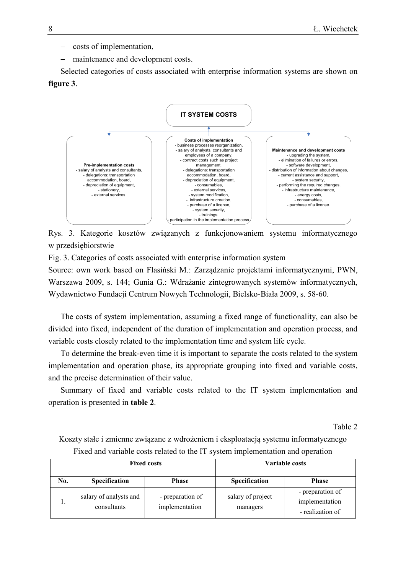- costs of implementation,
- maintenance and development costs.

Selected categories of costs associated with enterprise information systems are shown on **figure 3**.



Rys. 3. Kategorie kosztów związanych z funkcjonowaniem systemu informatycznego w przedsiębiorstwie

Fig. 3. Categories of costs associated with enterprise information system

Source: own work based on Flasiński M.: Zarządzanie projektami informatycznymi, PWN, Warszawa 2009, s. 144; Gunia G.: Wdrażanie zintegrowanych systemów informatycznych, Wydawnictwo Fundacji Centrum Nowych Technologii, Bielsko-Biała 2009, s. 58-60.

The costs of system implementation, assuming a fixed range of functionality, can also be divided into fixed, independent of the duration of implementation and operation process, and variable costs closely related to the implementation time and system life cycle.

To determine the break-even time it is important to separate the costs related to the system implementation and operation phase, its appropriate grouping into fixed and variable costs, and the precise determination of their value.

Summary of fixed and variable costs related to the IT system implementation and operation is presented in **table 2**.

Table 2

Koszty stałe i zmienne związane z wdrożeniem i eksploatacją systemu informatycznego Fixed and variable costs related to the IT system implementation and operation

|     |                                       | <b>Fixed costs</b>                 | Variable costs                |                                                        |  |  |
|-----|---------------------------------------|------------------------------------|-------------------------------|--------------------------------------------------------|--|--|
| No. | <b>Specification</b>                  | <b>Phase</b>                       |                               |                                                        |  |  |
|     | salary of analysts and<br>consultants | - preparation of<br>implementation | salary of project<br>managers | - preparation of<br>implementation<br>- realization of |  |  |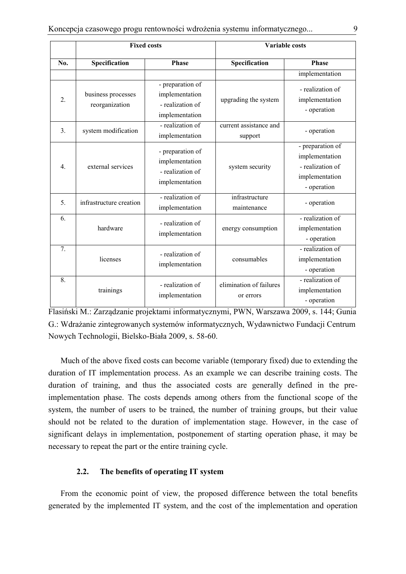|                  |                                      | <b>Fixed costs</b>                                                       | <b>Variable costs</b>                |                                                                                         |  |  |  |
|------------------|--------------------------------------|--------------------------------------------------------------------------|--------------------------------------|-----------------------------------------------------------------------------------------|--|--|--|
| No.              | Specification                        | <b>Phase</b>                                                             | Specification                        | <b>Phase</b>                                                                            |  |  |  |
|                  |                                      |                                                                          |                                      | implementation                                                                          |  |  |  |
| $\overline{2}$ . | business processes<br>reorganization | - preparation of<br>implementation<br>- realization of<br>implementation | upgrading the system                 | - realization of<br>implementation<br>- operation                                       |  |  |  |
| 3 <sub>1</sub>   | system modification                  | - realization of<br>implementation                                       | current assistance and<br>support    | - operation                                                                             |  |  |  |
| 4.               | external services                    | - preparation of<br>implementation<br>- realization of<br>implementation | system security                      | - preparation of<br>implementation<br>- realization of<br>implementation<br>- operation |  |  |  |
| 5.               | infrastructure creation              | - realization of<br>implementation                                       | infrastructure<br>maintenance        | - operation                                                                             |  |  |  |
| 6.               | hardware                             | - realization of<br>implementation                                       | energy consumption                   | - realization of<br>implementation<br>- operation                                       |  |  |  |
| 7.               | licenses                             | - realization of<br>implementation                                       | consumables                          | - realization of<br>implementation<br>- operation                                       |  |  |  |
| 8.               | trainings                            | - realization of<br>implementation                                       | elimination of failures<br>or errors | - realization of<br>implementation<br>- operation                                       |  |  |  |

Flasiński M.: Zarządzanie projektami informatycznymi, PWN, Warszawa 2009, s. 144; Gunia G.: Wdrażanie zintegrowanych systemów informatycznych, Wydawnictwo Fundacji Centrum Nowych Technologii, Bielsko-Biała 2009, s. 58-60.

Much of the above fixed costs can become variable (temporary fixed) due to extending the duration of IT implementation process. As an example we can describe training costs. The duration of training, and thus the associated costs are generally defined in the preimplementation phase. The costs depends among others from the functional scope of the system, the number of users to be trained, the number of training groups, but their value should not be related to the duration of implementation stage. However, in the case of significant delays in implementation, postponement of starting operation phase, it may be necessary to repeat the part or the entire training cycle.

#### **2.2. The benefits of operating IT system**

From the economic point of view, the proposed difference between the total benefits generated by the implemented IT system, and the cost of the implementation and operation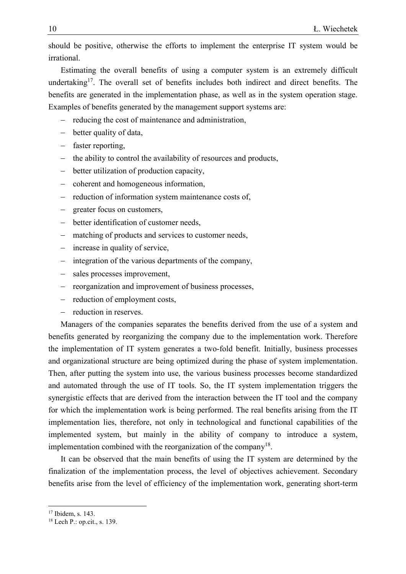should be positive, otherwise the efforts to implement the enterprise IT system would be irrational.

Estimating the overall benefits of using a computer system is an extremely difficult undertaking<sup>17</sup>. The overall set of benefits includes both indirect and direct benefits. The benefits are generated in the implementation phase, as well as in the system operation stage. Examples of benefits generated by the management support systems are:

- reducing the cost of maintenance and administration,
- better quality of data,
- faster reporting,
- the ability to control the availability of resources and products,
- better utilization of production capacity,
- coherent and homogeneous information,
- reduction of information system maintenance costs of,
- greater focus on customers,
- better identification of customer needs,
- matching of products and services to customer needs,
- increase in quality of service,
- $\overline{\phantom{a}}$  integration of the various departments of the company,
- sales processes improvement,
- reorganization and improvement of business processes,
- reduction of employment costs,
- reduction in reserves.

Managers of the companies separates the benefits derived from the use of a system and benefits generated by reorganizing the company due to the implementation work. Therefore the implementation of IT system generates a two-fold benefit. Initially, business processes and organizational structure are being optimized during the phase of system implementation. Then, after putting the system into use, the various business processes become standardized and automated through the use of IT tools. So, the IT system implementation triggers the synergistic effects that are derived from the interaction between the IT tool and the company for which the implementation work is being performed. The real benefits arising from the IT implementation lies, therefore, not only in technological and functional capabilities of the implemented system, but mainly in the ability of company to introduce a system, implementation combined with the reorganization of the company<sup>18</sup>.

It can be observed that the main benefits of using the IT system are determined by the finalization of the implementation process, the level of objectives achievement. Secondary benefits arise from the level of efficiency of the implementation work, generating short-term

<sup>&</sup>lt;sup>17</sup> Ibidem, s. 143.

<sup>18</sup> Lech P.: op.cit., s. 139.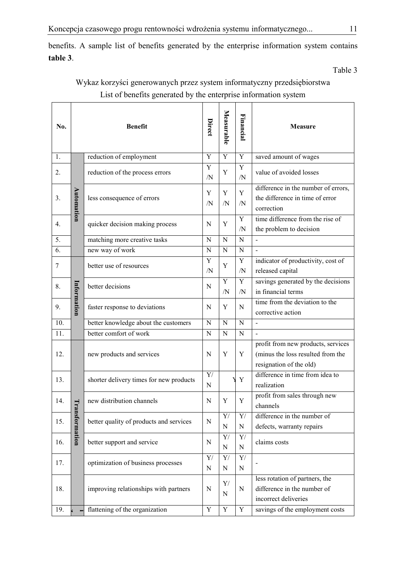benefits. A sample list of benefits generated by the enterprise information system contains **table 3**.

Table 3

## Wykaz korzyści generowanych przez system informatyczny przedsiębiorstwa List of benefits generated by the enterprise information system

| No. |             | <b>Benefit</b>                          | Direct              | Measurable                             | Financial                                | Measure                                                                                            |
|-----|-------------|-----------------------------------------|---------------------|----------------------------------------|------------------------------------------|----------------------------------------------------------------------------------------------------|
| 1.  |             | reduction of employment                 | $\overline{Y}$      | $\overline{Y}$                         | $\overline{Y}$                           | saved amount of wages                                                                              |
| 2.  |             | reduction of the process errors         | Y<br>/N             | Y                                      | Y<br>/N                                  | value of avoided losses                                                                            |
| 3.  | Automation  | less consequence of errors              | Y<br>$\overline{N}$ | Y<br>/N                                | Y<br>$\sqrt{N}$                          | difference in the number of errors,<br>the difference in time of error<br>correction               |
| 4.  |             | quicker decision making process         | N                   | Y                                      | Y<br>/N                                  | time difference from the rise of<br>the problem to decision                                        |
| 5.  |             | matching more creative tasks            | N                   | N                                      | N                                        |                                                                                                    |
| 6.  |             | new way of work                         | N                   | ${\bf N}$                              | N                                        |                                                                                                    |
| 7   |             | better use of resources                 | Y<br>$\overline{N}$ | Y                                      | $\mathbf Y$<br>/N                        | indicator of productivity, cost of<br>released capital                                             |
| 8.  |             | better decisions                        | N                   | $\overline{Y}$<br>/N                   | Y<br>/N                                  | savings generated by the decisions<br>in financial terms                                           |
| 9.  | Information | faster response to deviations           | N                   | Y                                      | N                                        | time from the deviation to the<br>corrective action                                                |
| 10. |             | better knowledge about the customers    | $\mathbf N$         | ${\bf N}$                              | N                                        | $\blacksquare$                                                                                     |
| 11. |             | better comfort of work                  | N                   | N                                      | N                                        | $\overline{a}$                                                                                     |
| 12. |             | new products and services               | N                   | Y                                      | Y                                        | profit from new products, services<br>(minus the loss resulted from the<br>resignation of the old) |
| 13. |             | shorter delivery times for new products | Y/<br>${\bf N}$     |                                        | $\mathbf Y$                              | difference in time from idea to<br>realization                                                     |
| 14. | Tra         | new distribution channels               | N                   | Y                                      | Y                                        | profit from sales through new<br>channels                                                          |
| 15. | nsformation | better quality of products and services | $\mathbf N$         | Y/<br>${\bf N}$                        | Y/<br>${\bf N}$                          | difference in the number of<br>defects, warranty repairs                                           |
| 16. |             | better support and service              | $\mathbf N$         | $\mathbf{Y}/% \mathbf{Y}$<br>${\bf N}$ | Y/<br>$\mathbf N$                        | claims costs                                                                                       |
| 17. |             | optimization of business processes      | Y/<br>$\mathbf N$   | Y/<br>${\bf N}$                        | $\mathbf{Y}/% \mathbf{Y}$<br>$\mathbf N$ |                                                                                                    |
| 18. |             | improving relationships with partners   | N                   | Y/<br>N                                | N                                        | less rotation of partners, the<br>difference in the number of<br>incorrect deliveries              |
| 19. |             | flattening of the organization          | $\overline{Y}$      | $\overline{Y}$                         | $\overline{Y}$                           | savings of the employment costs                                                                    |
|     |             |                                         |                     |                                        |                                          |                                                                                                    |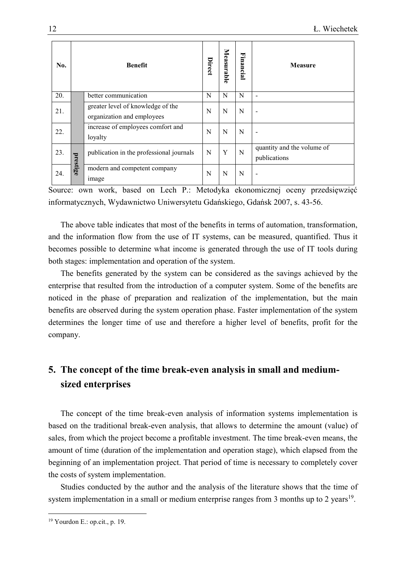| No. | <b>Benefit</b> |                                                                 | Direct | Measurable | Financial | <b>Measure</b>                             |
|-----|----------------|-----------------------------------------------------------------|--------|------------|-----------|--------------------------------------------|
| 20. |                | better communication                                            | N      | N          | N         |                                            |
| 21. |                | greater level of knowledge of the<br>organization and employees | N      | N          | N         |                                            |
| 22. |                | increase of employees comfort and<br>loyalty                    | N      | N          | N         |                                            |
| 23. | prestige       | publication in the professional journals                        | N      | Y          | N         | quantity and the volume of<br>publications |
| 24. |                | modern and competent company<br>image                           | N      | N          | N         |                                            |

Source: own work, based on Lech P.: Metodyka ekonomicznej oceny przedsięwzięć informatycznych, Wydawnictwo Uniwersytetu Gdańskiego, Gdańsk 2007, s. 43-56.

The above table indicates that most of the benefits in terms of automation, transformation, and the information flow from the use of IT systems, can be measured, quantified. Thus it becomes possible to determine what income is generated through the use of IT tools during both stages: implementation and operation of the system.

The benefits generated by the system can be considered as the savings achieved by the enterprise that resulted from the introduction of a computer system. Some of the benefits are noticed in the phase of preparation and realization of the implementation, but the main benefits are observed during the system operation phase. Faster implementation of the system determines the longer time of use and therefore a higher level of benefits, profit for the company.

## **5. The concept of the time break-even analysis in small and mediumsized enterprises**

The concept of the time break-even analysis of information systems implementation is based on the traditional break-even analysis, that allows to determine the amount (value) of sales, from which the project become a profitable investment. The time break-even means, the amount of time (duration of the implementation and operation stage), which elapsed from the beginning of an implementation project. That period of time is necessary to completely cover the costs of system implementation.

Studies conducted by the author and the analysis of the literature shows that the time of system implementation in a small or medium enterprise ranges from 3 months up to 2 years<sup>19</sup>.

<sup>19</sup> Yourdon E.: op.cit., p. 19.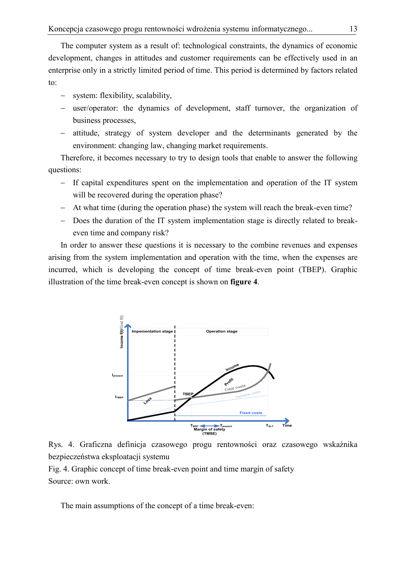The computer system as a result of: technological constraints, the dynamics of economic development, changes in attitudes and customer requirements can be effectively used in an enterprise only in a strictly limited period of time. This period is determined by factors related to:

- system: flexibility, scalability,
- user/operator: the dynamics of development, staff turnover, the organization of business processes,
- attitude, strategy of system developer and the determinants generated by the environment: changing law, changing market requirements.

Therefore, it becomes necessary to try to design tools that enable to answer the following questions:

- If capital expenditures spent on the implementation and operation of the IT system will be recovered during the operation phase?
- At what time (during the operation phase) the system will reach the break-even time?
- Does the duration of the IT system implementation stage is directly related to breakeven time and company risk?

In order to answer these questions it is necessary to the combine revenues and expenses arising from the system implementation and operation with the time, when the expenses are incurred, which is developing the concept of time break-even point (TBEP). Graphic illustration of the time break-even concept is shown on **figure 4**.





Fig. 4. Graphic concept of time break-even point and time margin of safety Source: own work.

The main assumptions of the concept of a time break-even: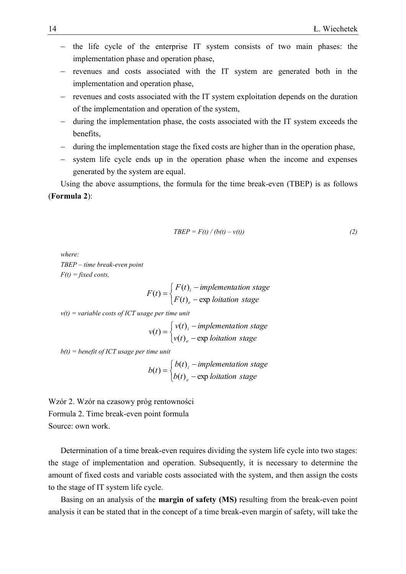- the life cycle of the enterprise IT system consists of two main phases: the implementation phase and operation phase,
- revenues and costs associated with the IT system are generated both in the implementation and operation phase,
- revenues and costs associated with the IT system exploitation depends on the duration of the implementation and operation of the system,
- during the implementation phase, the costs associated with the IT system exceeds the benefits,
- during the implementation stage the fixed costs are higher than in the operation phase,
- system life cycle ends up in the operation phase when the income and expenses generated by the system are equal.

Using the above assumptions, the formula for the time break-even (TBEP) is as follows (**Formula 2**):

$$
TBEP = F(t) / (b(t) - v(t))
$$
\n(2)

*where: TBEP – time break-even point*  $F(t) = fixed \, costs,$ 

$$
F(t) = \begin{cases} F(t)_{i} - implementation stage \\ F(t)_{e} - \exp lotiation stage \end{cases}
$$

*v(t) = variable costs of ICT usage per time unit*

$$
v(t) = \begin{cases} v(t)_i - implementation stage \\ v(t)_e - \exp lotiation stage \end{cases}
$$

*b(t) = benefit of ICT usage per time unit*

$$
b(t) = \begin{cases} b(t)_i - implementation stage \\ b(t)_e - exp lotiation stage \end{cases}
$$

Wzór 2. Wzór na czasowy próg rentowności Formula 2. Time break-even point formula Source: own work.

Determination of a time break-even requires dividing the system life cycle into two stages: the stage of implementation and operation. Subsequently, it is necessary to determine the amount of fixed costs and variable costs associated with the system, and then assign the costs to the stage of IT system life cycle.

Basing on an analysis of the **margin of safety (MS)** resulting from the break-even point analysis it can be stated that in the concept of a time break-even margin of safety, will take the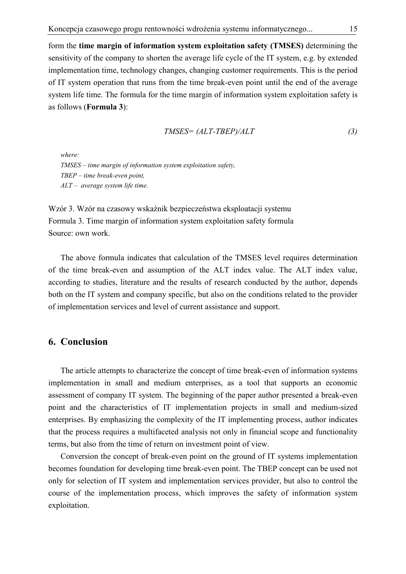form the **time margin of information system exploitation safety (TMSES)** determining the sensitivity of the company to shorten the average life cycle of the IT system, e.g. by extended implementation time, technology changes, changing customer requirements. This is the period of IT system operation that runs from the time break-even point until the end of the average system life time. The formula for the time margin of information system exploitation safety is as follows (**Formula 3**):

$$
TMSES = (ALT-TBEP)/ALT
$$
\n(3)

*where: TMSES – time margin of information system exploitation safety, TBEP – time break-even point, ALT – average system life time.*

Wzór 3. Wzór na czasowy wskaźnik bezpieczeństwa eksploatacji systemu Formula 3. Time margin of information system exploitation safety formula Source: own work.

The above formula indicates that calculation of the TMSES level requires determination of the time break-even and assumption of the ALT index value. The ALT index value, according to studies, literature and the results of research conducted by the author, depends both on the IT system and company specific, but also on the conditions related to the provider of implementation services and level of current assistance and support.

### **6. Conclusion**

The article attempts to characterize the concept of time break-even of information systems implementation in small and medium enterprises, as a tool that supports an economic assessment of company IT system. The beginning of the paper author presented a break-even point and the characteristics of IT implementation projects in small and medium-sized enterprises. By emphasizing the complexity of the IT implementing process, author indicates that the process requires a multifaceted analysis not only in financial scope and functionality terms, but also from the time of return on investment point of view.

Conversion the concept of break-even point on the ground of IT systems implementation becomes foundation for developing time break-even point. The TBEP concept can be used not only for selection of IT system and implementation services provider, but also to control the course of the implementation process, which improves the safety of information system exploitation.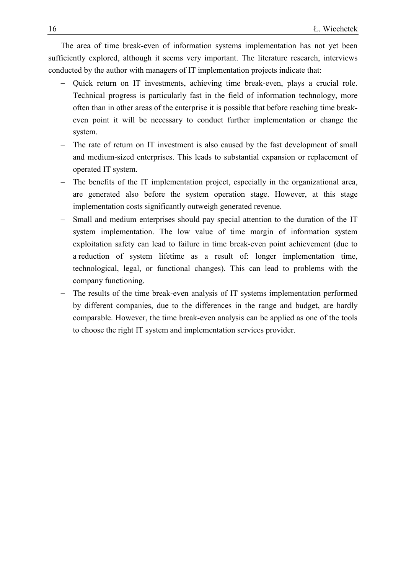The area of time break-even of information systems implementation has not yet been sufficiently explored, although it seems very important. The literature research, interviews conducted by the author with managers of IT implementation projects indicate that:

- Quick return on IT investments, achieving time break-even, plays a crucial role. Technical progress is particularly fast in the field of information technology, more often than in other areas of the enterprise it is possible that before reaching time breakeven point it will be necessary to conduct further implementation or change the system.
- The rate of return on IT investment is also caused by the fast development of small and medium-sized enterprises. This leads to substantial expansion or replacement of operated IT system.
- The benefits of the IT implementation project, especially in the organizational area, are generated also before the system operation stage. However, at this stage implementation costs significantly outweigh generated revenue.
- Small and medium enterprises should pay special attention to the duration of the IT system implementation. The low value of time margin of information system exploitation safety can lead to failure in time break-even point achievement (due to a reduction of system lifetime as a result of: longer implementation time, technological, legal, or functional changes). This can lead to problems with the company functioning.
- The results of the time break-even analysis of IT systems implementation performed by different companies, due to the differences in the range and budget, are hardly comparable. However, the time break-even analysis can be applied as one of the tools to choose the right IT system and implementation services provider.